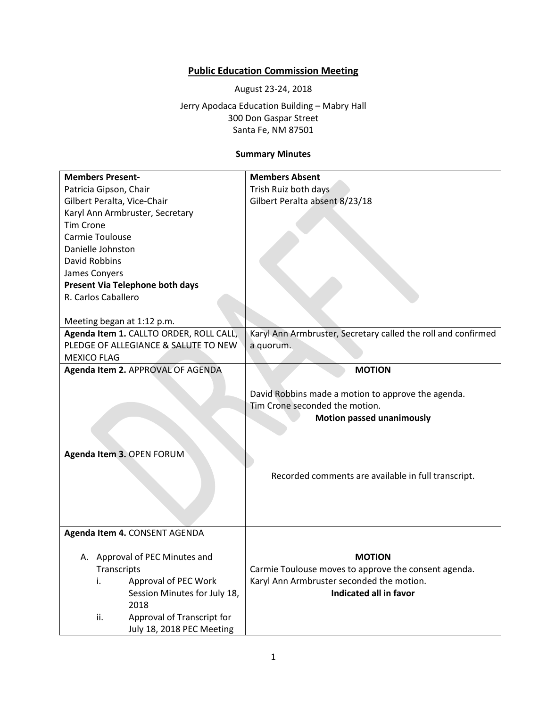# **Public Education Commission Meeting**

August 23-24, 2018

Jerry Apodaca Education Building – Mabry Hall 300 Don Gaspar Street Santa Fe, NM 87501

## **Summary Minutes**

| <b>Members Present-</b>                                        | <b>Members Absent</b>                                         |
|----------------------------------------------------------------|---------------------------------------------------------------|
| Patricia Gipson, Chair                                         | Trish Ruiz both days                                          |
| Gilbert Peralta, Vice-Chair                                    | Gilbert Peralta absent 8/23/18                                |
| Karyl Ann Armbruster, Secretary                                |                                                               |
| <b>Tim Crone</b>                                               |                                                               |
| Carmie Toulouse                                                |                                                               |
| Danielle Johnston                                              |                                                               |
| <b>David Robbins</b>                                           |                                                               |
| James Conyers                                                  |                                                               |
| Present Via Telephone both days                                |                                                               |
| R. Carlos Caballero                                            |                                                               |
|                                                                |                                                               |
| Meeting began at 1:12 p.m.                                     |                                                               |
| Agenda Item 1. CALLTO ORDER, ROLL CALL,                        | Karyl Ann Armbruster, Secretary called the roll and confirmed |
| PLEDGE OF ALLEGIANCE & SALUTE TO NEW                           | a quorum.                                                     |
| <b>MEXICO FLAG</b>                                             |                                                               |
| Agenda Item 2. APPROVAL OF AGENDA                              | <b>MOTION</b>                                                 |
|                                                                |                                                               |
|                                                                | David Robbins made a motion to approve the agenda.            |
|                                                                | Tim Crone seconded the motion.                                |
|                                                                | <b>Motion passed unanimously</b>                              |
|                                                                |                                                               |
|                                                                |                                                               |
| Agenda Item 3. OPEN FORUM                                      |                                                               |
|                                                                |                                                               |
|                                                                | Recorded comments are available in full transcript.           |
|                                                                |                                                               |
|                                                                |                                                               |
|                                                                |                                                               |
|                                                                |                                                               |
| Agenda Item 4. CONSENT AGENDA                                  |                                                               |
|                                                                |                                                               |
| A. Approval of PEC Minutes and                                 | <b>MOTION</b>                                                 |
| Transcripts                                                    | Carmie Toulouse moves to approve the consent agenda.          |
| Approval of PEC Work<br>i.                                     | Karyl Ann Armbruster seconded the motion.                     |
| Session Minutes for July 18,                                   | <b>Indicated all in favor</b>                                 |
| 2018                                                           |                                                               |
|                                                                |                                                               |
| ii.<br>Approval of Transcript for<br>July 18, 2018 PEC Meeting |                                                               |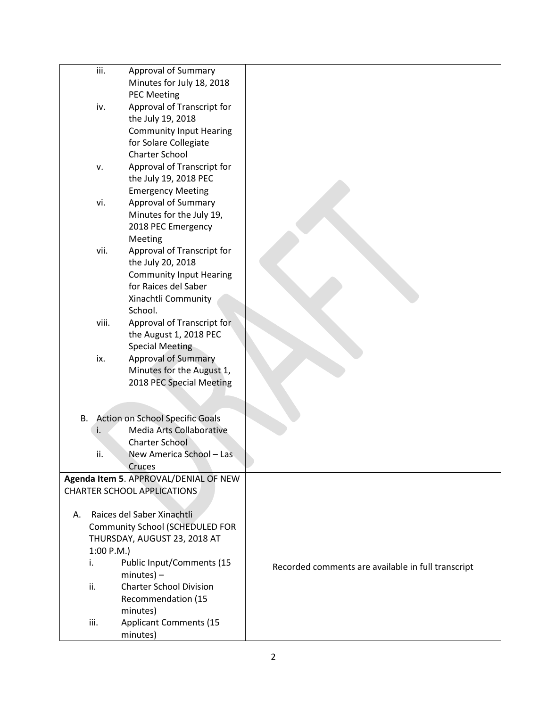|                                       | iii.      | <b>Approval of Summary</b>                      |                                                    |
|---------------------------------------|-----------|-------------------------------------------------|----------------------------------------------------|
|                                       |           | Minutes for July 18, 2018                       |                                                    |
|                                       |           | <b>PEC Meeting</b>                              |                                                    |
|                                       | iv.       | Approval of Transcript for                      |                                                    |
|                                       |           | the July 19, 2018                               |                                                    |
|                                       |           | <b>Community Input Hearing</b>                  |                                                    |
|                                       |           | for Solare Collegiate                           |                                                    |
|                                       |           | <b>Charter School</b>                           |                                                    |
|                                       | ٧.        | Approval of Transcript for                      |                                                    |
|                                       |           | the July 19, 2018 PEC                           |                                                    |
|                                       |           | <b>Emergency Meeting</b>                        |                                                    |
|                                       | vi.       | Approval of Summary                             |                                                    |
|                                       |           | Minutes for the July 19,                        |                                                    |
|                                       |           | 2018 PEC Emergency                              |                                                    |
|                                       |           | Meeting                                         |                                                    |
|                                       | vii.      | Approval of Transcript for                      |                                                    |
|                                       |           | the July 20, 2018                               |                                                    |
|                                       |           | <b>Community Input Hearing</b>                  |                                                    |
|                                       |           | for Raices del Saber                            |                                                    |
|                                       |           | Xinachtli Community                             |                                                    |
|                                       |           | School.                                         |                                                    |
|                                       | viii.     | Approval of Transcript for                      |                                                    |
|                                       |           | the August 1, 2018 PEC                          |                                                    |
|                                       |           | <b>Special Meeting</b>                          |                                                    |
|                                       | ix.       | <b>Approval of Summary</b>                      |                                                    |
|                                       |           | Minutes for the August 1,                       |                                                    |
|                                       |           | 2018 PEC Special Meeting                        |                                                    |
|                                       |           |                                                 |                                                    |
|                                       |           |                                                 |                                                    |
|                                       | <b>B.</b> | Action on School Specific Goals                 |                                                    |
|                                       | i.        | Media Arts Collaborative                        |                                                    |
|                                       |           | <b>Charter School</b>                           |                                                    |
|                                       | ii.       | New America School - Las                        |                                                    |
|                                       |           | Cruces                                          |                                                    |
| Agenda Item 5. APPROVAL/DENIAL OF NEW |           |                                                 |                                                    |
|                                       |           | <b>CHARTER SCHOOL APPLICATIONS</b>              |                                                    |
|                                       |           |                                                 |                                                    |
| А.                                    |           | Raices del Saber Xinachtli                      |                                                    |
|                                       |           | <b>Community School (SCHEDULED FOR</b>          |                                                    |
|                                       |           | THURSDAY, AUGUST 23, 2018 AT                    |                                                    |
|                                       | 1:00 P.M. |                                                 |                                                    |
|                                       | i.        | Public Input/Comments (15                       | Recorded comments are available in full transcript |
|                                       |           | $minutes$ ) –<br><b>Charter School Division</b> |                                                    |
|                                       | ii.       |                                                 |                                                    |
|                                       |           | Recommendation (15                              |                                                    |
|                                       | iii.      | minutes)<br><b>Applicant Comments (15</b>       |                                                    |
|                                       |           | minutes)                                        |                                                    |
|                                       |           |                                                 |                                                    |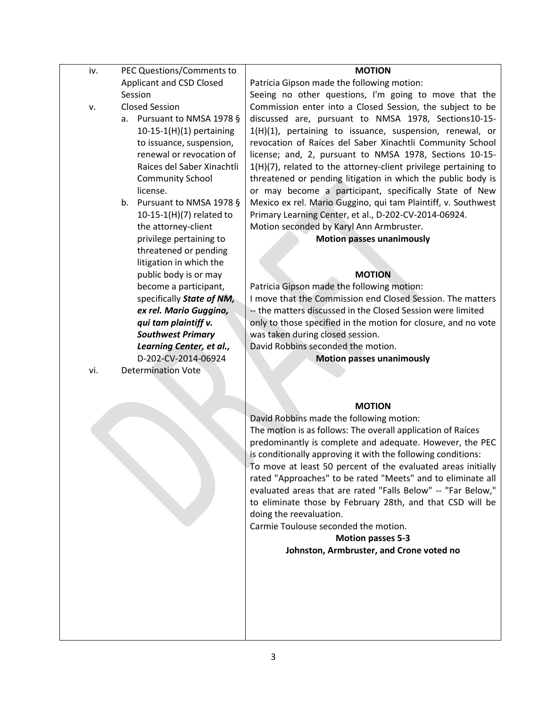| PEC Questions/Comments to |
|---------------------------|
| Applicant and CSD Closed  |
| Session                   |
|                           |

- v. Closed Session
	- a. Pursuant to NMSA 1978 § 10-15-1(H)(1) pertaining to issuance, suspension, renewal or revocation of Raices del Saber Xinachtli Community School license.
- b. Pursuant to NMSA 1978 § 10-15-1(H)(7) related to the attorney-client privilege pertaining to threatened or pending litigation in which the public body is or may become a participant, specifically *State of NM, ex rel. Mario Guggino, qui tam plaintiff v. Southwest Primary Learning Center, et al.,*  D-202-CV-2014-06924 vi. Determination Vote

#### **MOTION**

Patricia Gipson made the following motion:

Seeing no other questions, I'm going to move that the Commission enter into a Closed Session, the subject to be discussed are, pursuant to NMSA 1978, Sections10-15- 1(H)(1), pertaining to issuance, suspension, renewal, or revocation of Raíces del Saber Xinachtli Community School license; and, 2, pursuant to NMSA 1978, Sections 10-15- 1(H)(7), related to the attorney-client privilege pertaining to threatened or pending litigation in which the public body is or may become a participant, specifically State of New Mexico ex rel. Mario Guggino, qui tam Plaintiff, v. Southwest Primary Learning Center, et al., D-202-CV-2014-06924.

Motion seconded by Karyl Ann Armbruster.

#### **Motion passes unanimously**

#### **MOTION**

Patricia Gipson made the following motion: I move that the Commission end Closed Session. The matters -- the matters discussed in the Closed Session were limited only to those specified in the motion for closure, and no vote was taken during closed session.

David Robbins seconded the motion.

#### **Motion passes unanimously**

#### **MOTION**

David Robbins made the following motion: The motion is as follows: The overall application of Raíces predominantly is complete and adequate. However, the PEC is conditionally approving it with the following conditions: To move at least 50 percent of the evaluated areas initially rated "Approaches" to be rated "Meets" and to eliminate all evaluated areas that are rated "Falls Below" -- "Far Below," to eliminate those by February 28th, and that CSD will be doing the reevaluation.

Carmie Toulouse seconded the motion.

### **Motion passes 5-3 Johnston, Armbruster, and Crone voted no**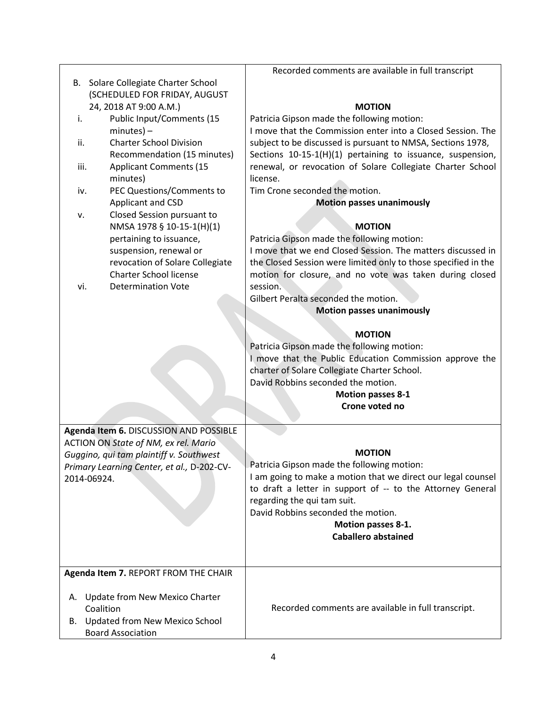|                                            |                                         | Recorded comments are available in full transcript             |
|--------------------------------------------|-----------------------------------------|----------------------------------------------------------------|
|                                            | B. Solare Collegiate Charter School     |                                                                |
|                                            | (SCHEDULED FOR FRIDAY, AUGUST           |                                                                |
|                                            | 24, 2018 AT 9:00 A.M.)                  | <b>MOTION</b>                                                  |
| i.                                         | Public Input/Comments (15               | Patricia Gipson made the following motion:                     |
|                                            | $minutes$ ) –                           | I move that the Commission enter into a Closed Session. The    |
| ii.                                        | <b>Charter School Division</b>          | subject to be discussed is pursuant to NMSA, Sections 1978,    |
|                                            | Recommendation (15 minutes)             | Sections 10-15-1(H)(1) pertaining to issuance, suspension,     |
| iii.                                       | <b>Applicant Comments (15</b>           | renewal, or revocation of Solare Collegiate Charter School     |
|                                            | minutes)                                | license.                                                       |
| iv.                                        | PEC Questions/Comments to               | Tim Crone seconded the motion.                                 |
|                                            | Applicant and CSD                       | <b>Motion passes unanimously</b>                               |
| v.                                         | Closed Session pursuant to              |                                                                |
|                                            | NMSA 1978 § 10-15-1(H)(1)               | <b>MOTION</b>                                                  |
|                                            | pertaining to issuance,                 | Patricia Gipson made the following motion:                     |
|                                            | suspension, renewal or                  | I move that we end Closed Session. The matters discussed in    |
|                                            | revocation of Solare Collegiate         | the Closed Session were limited only to those specified in the |
|                                            | <b>Charter School license</b>           | motion for closure, and no vote was taken during closed        |
| vi.                                        | <b>Determination Vote</b>               | session.                                                       |
|                                            |                                         | Gilbert Peralta seconded the motion.                           |
|                                            |                                         | <b>Motion passes unanimously</b>                               |
|                                            |                                         |                                                                |
|                                            |                                         | <b>MOTION</b>                                                  |
|                                            |                                         | Patricia Gipson made the following motion:                     |
|                                            |                                         | I move that the Public Education Commission approve the        |
|                                            |                                         | charter of Solare Collegiate Charter School.                   |
|                                            |                                         | David Robbins seconded the motion.                             |
|                                            |                                         | <b>Motion passes 8-1</b>                                       |
|                                            |                                         | Crone voted no                                                 |
|                                            |                                         |                                                                |
|                                            | Agenda Item 6. DISCUSSION AND POSSIBLE  |                                                                |
|                                            | ACTION ON State of NM, ex rel. Mario    |                                                                |
|                                            | Guggino, qui tam plaintiff v. Southwest | <b>MOTION</b>                                                  |
| Primary Learning Center, et al., D-202-CV- |                                         | Patricia Gipson made the following motion:                     |
| 2014-06924.                                |                                         | I am going to make a motion that we direct our legal counsel   |
|                                            |                                         | to draft a letter in support of -- to the Attorney General     |
|                                            |                                         | regarding the qui tam suit.                                    |
|                                            |                                         | David Robbins seconded the motion.                             |
|                                            |                                         | Motion passes 8-1.                                             |
|                                            |                                         | <b>Caballero abstained</b>                                     |
|                                            |                                         |                                                                |
|                                            | Agenda Item 7. REPORT FROM THE CHAIR    |                                                                |
|                                            |                                         |                                                                |
|                                            | A. Update from New Mexico Charter       |                                                                |
|                                            | Coalition                               | Recorded comments are available in full transcript.            |
| В.                                         | <b>Updated from New Mexico School</b>   |                                                                |
|                                            | <b>Board Association</b>                |                                                                |